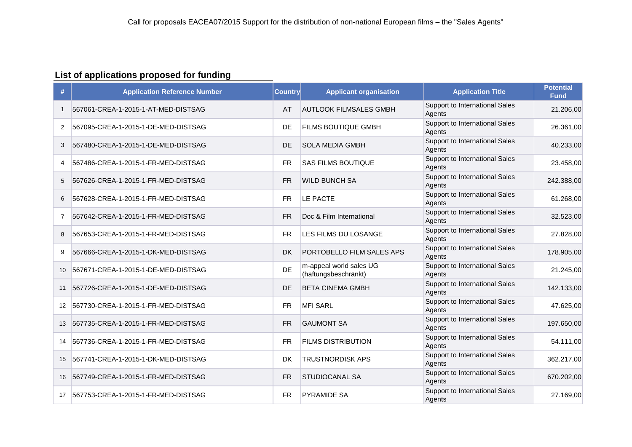#### **List of applications proposed for funding**

| #                 | <b>Application Reference Number</b> | <b>Country</b> | <b>Applicant organisation</b>                   | <b>Application Title</b>                 | <b>Potential</b><br><b>Fund</b> |
|-------------------|-------------------------------------|----------------|-------------------------------------------------|------------------------------------------|---------------------------------|
| 1                 | 567061-CREA-1-2015-1-AT-MED-DISTSAG | AT             | <b>AUTLOOK FILMSALES GMBH</b>                   | Support to International Sales<br>Agents | 21.206,00                       |
| $\overline{2}$    | 567095-CREA-1-2015-1-DE-MED-DISTSAG | <b>DE</b>      | FILMS BOUTIQUE GMBH                             | Support to International Sales<br>Agents | 26.361,00                       |
| 3                 | 567480-CREA-1-2015-1-DE-MED-DISTSAG | DE             | <b>SOLA MEDIA GMBH</b>                          | Support to International Sales<br>Agents | 40.233,00                       |
| 4                 | 567486-CREA-1-2015-1-FR-MED-DISTSAG | <b>FR</b>      | SAS FILMS BOUTIQUE                              | Support to International Sales<br>Agents | 23.458,00                       |
| 5                 | 567626-CREA-1-2015-1-FR-MED-DISTSAG | <b>FR</b>      | <b>WILD BUNCH SA</b>                            | Support to International Sales<br>Agents | 242.388,00                      |
| 6                 | 567628-CREA-1-2015-1-FR-MED-DISTSAG | <b>FR</b>      | LE PACTE                                        | Support to International Sales<br>Agents | 61.268,00                       |
| 7                 | 567642-CREA-1-2015-1-FR-MED-DISTSAG | <b>FR</b>      | Doc & Film International                        | Support to International Sales<br>Agents | 32.523,00                       |
| 8                 | 567653-CREA-1-2015-1-FR-MED-DISTSAG | <b>FR</b>      | LES FILMS DU LOSANGE                            | Support to International Sales<br>Agents | 27.828,00                       |
| 9                 | 567666-CREA-1-2015-1-DK-MED-DISTSAG | <b>DK</b>      | PORTOBELLO FILM SALES APS                       | Support to International Sales<br>Agents | 178.905,00                      |
| 10                | 567671-CREA-1-2015-1-DE-MED-DISTSAG | DE             | m-appeal world sales UG<br>(haftungsbeschränkt) | Support to International Sales<br>Agents | 21.245,00                       |
| 11                | 567726-CREA-1-2015-1-DE-MED-DISTSAG | DE             | <b>BETA CINEMA GMBH</b>                         | Support to International Sales<br>Agents | 142.133,00                      |
| $12 \overline{ }$ | 567730-CREA-1-2015-1-FR-MED-DISTSAG | <b>FR</b>      | <b>MFI SARL</b>                                 | Support to International Sales<br>Agents | 47.625,00                       |
| 13                | 567735-CREA-1-2015-1-FR-MED-DISTSAG | <b>FR</b>      | <b>GAUMONT SA</b>                               | Support to International Sales<br>Agents | 197.650,00                      |
| 14                | 567736-CREA-1-2015-1-FR-MED-DISTSAG | <b>FR</b>      | <b>FILMS DISTRIBUTION</b>                       | Support to International Sales<br>Agents | 54.111,00                       |
| 15                | 567741-CREA-1-2015-1-DK-MED-DISTSAG | DK             | <b>TRUSTNORDISK APS</b>                         | Support to International Sales<br>Agents | 362.217,00                      |
| 16                | 567749-CREA-1-2015-1-FR-MED-DISTSAG | <b>FR</b>      | STUDIOCANAL SA                                  | Support to International Sales<br>Agents | 670.202,00                      |
| 17                | 567753-CREA-1-2015-1-FR-MED-DISTSAG | <b>FR</b>      | <b>PYRAMIDE SA</b>                              | Support to International Sales<br>Agents | 27.169,00                       |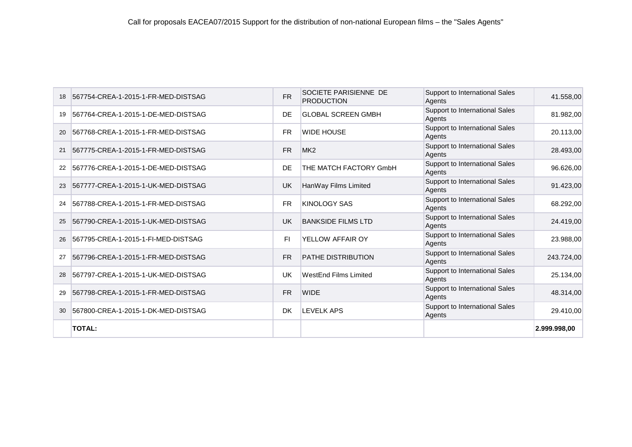| 18 | 567754-CREA-1-2015-1-FR-MED-DISTSAG | <b>FR</b> | SOCIETE PARISIENNE DE<br><b>PRODUCTION</b> | Support to International Sales<br>Agents | 41.558,00    |
|----|-------------------------------------|-----------|--------------------------------------------|------------------------------------------|--------------|
| 19 | 567764-CREA-1-2015-1-DE-MED-DISTSAG | DE        | <b>GLOBAL SCREEN GMBH</b>                  | Support to International Sales<br>Agents | 81.982,00    |
| 20 | 567768-CREA-1-2015-1-FR-MED-DISTSAG | <b>FR</b> | <b>WIDE HOUSE</b>                          | Support to International Sales<br>Agents | 20.113,00    |
| 21 | 567775-CREA-1-2015-1-FR-MED-DISTSAG | <b>FR</b> | MK <sub>2</sub>                            | Support to International Sales<br>Agents | 28.493,00    |
| 22 | 567776-CREA-1-2015-1-DE-MED-DISTSAG | DE        | THE MATCH FACTORY GmbH                     | Support to International Sales<br>Agents | 96.626,00    |
| 23 | 567777-CREA-1-2015-1-UK-MED-DISTSAG | UK        | HanWay Films Limited                       | Support to International Sales<br>Agents | 91.423,00    |
| 24 | 567788-CREA-1-2015-1-FR-MED-DISTSAG | <b>FR</b> | <b>KINOLOGY SAS</b>                        | Support to International Sales<br>Agents | 68.292,00    |
| 25 | 567790-CREA-1-2015-1-UK-MED-DISTSAG | UK        | <b>BANKSIDE FILMS LTD</b>                  | Support to International Sales<br>Agents | 24.419,00    |
| 26 | 567795-CREA-1-2015-1-FI-MED-DISTSAG | F1        | YELLOW AFFAIR OY                           | Support to International Sales<br>Agents | 23.988,00    |
| 27 | 567796-CREA-1-2015-1-FR-MED-DISTSAG | <b>FR</b> | <b>PATHE DISTRIBUTION</b>                  | Support to International Sales<br>Agents | 243.724,00   |
| 28 | 567797-CREA-1-2015-1-UK-MED-DISTSAG | <b>UK</b> | <b>WestEnd Films Limited</b>               | Support to International Sales<br>Agents | 25.134,00    |
| 29 | 567798-CREA-1-2015-1-FR-MED-DISTSAG | <b>FR</b> | <b>WIDE</b>                                | Support to International Sales<br>Agents | 48.314,00    |
| 30 | 567800-CREA-1-2015-1-DK-MED-DISTSAG | <b>DK</b> | <b>LEVELK APS</b>                          | Support to International Sales<br>Agents | 29.410,00    |
|    | <b>TOTAL:</b>                       |           |                                            |                                          | 2.999.998,00 |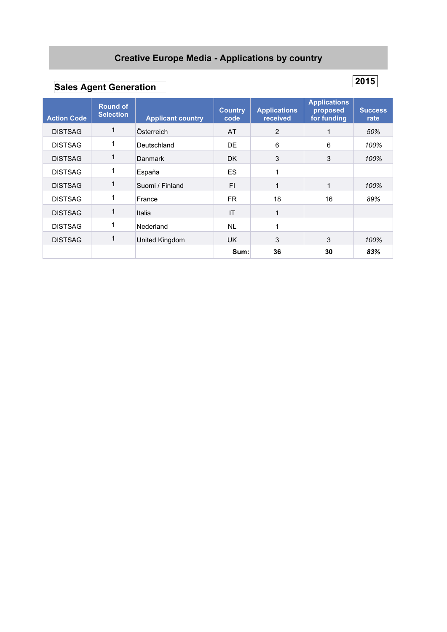### **Creative Europe Media - Applications by country**

# **Sales Agent Generation**

| <b>Action Code</b> | <b>Round of</b><br><b>Selection</b> | <b>Applicant country</b> | <b>Country</b><br>code | <b>Applications</b><br>received | <b>Applications</b><br>proposed<br>for funding | <b>Success</b><br>rate |
|--------------------|-------------------------------------|--------------------------|------------------------|---------------------------------|------------------------------------------------|------------------------|
| <b>DISTSAG</b>     |                                     | Österreich               | AT                     | $\overline{2}$                  |                                                | 50%                    |
| <b>DISTSAG</b>     |                                     | Deutschland              | DE                     | 6                               | 6                                              | 100%                   |
| <b>DISTSAG</b>     |                                     | <b>Danmark</b>           | DK.                    | 3                               | 3                                              | 100%                   |
| <b>DISTSAG</b>     |                                     | España                   | ES                     | 1                               |                                                |                        |
| <b>DISTSAG</b>     |                                     | Suomi / Finland          | FI                     | 1                               |                                                | 100%                   |
| <b>DISTSAG</b>     |                                     | France                   | FR.                    | 18                              | 16                                             | 89%                    |
| <b>DISTSAG</b>     |                                     | Italia                   | IT                     | $\mathbf{1}$                    |                                                |                        |
| <b>DISTSAG</b>     |                                     | Nederland                | <b>NL</b>              | 1                               |                                                |                        |
| <b>DISTSAG</b>     |                                     | United Kingdom           | UK.                    | 3                               | 3                                              | 100%                   |
|                    |                                     |                          | Sum:                   | 36                              | 30                                             | 83%                    |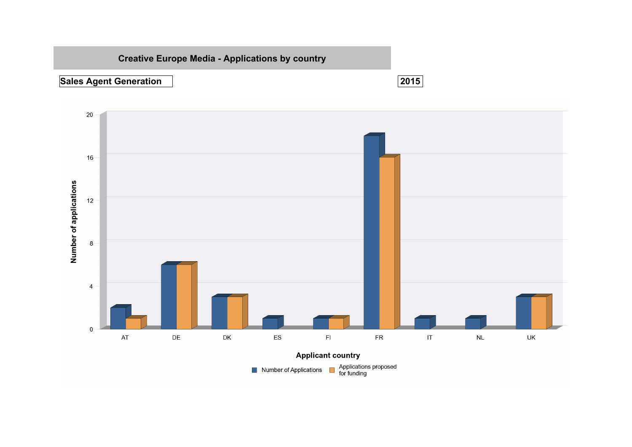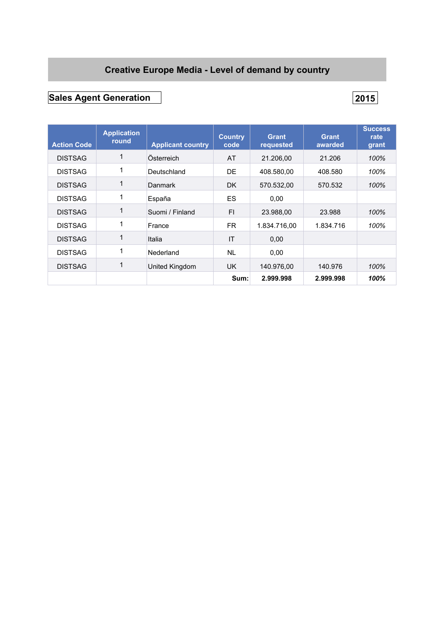### **Creative Europe Media - Level of demand by country**

## **Sales Agent Generation 2015**

| <b>Action Code</b> | <b>Application</b><br>round | <b>Applicant country</b> | <b>Country</b><br>code | <b>Grant</b><br>requested | <b>Grant</b><br>awarded | <b>Success</b><br>rate<br>grant |
|--------------------|-----------------------------|--------------------------|------------------------|---------------------------|-------------------------|---------------------------------|
| <b>DISTSAG</b>     | $\mathbf{1}$                | Österreich               | AT                     | 21.206.00                 | 21.206                  | 100%                            |
| <b>DISTSAG</b>     | 1                           | Deutschland              | DE                     | 408.580,00                | 408.580                 | 100%                            |
| <b>DISTSAG</b>     | 1                           | Danmark                  | DK.                    | 570.532,00                | 570.532                 | 100%                            |
| <b>DISTSAG</b>     | 1                           | España                   | <b>ES</b>              | 0.00                      |                         |                                 |
| <b>DISTSAG</b>     | $\mathbf{1}$                | Suomi / Finland          | FI.                    | 23.988,00                 | 23.988                  | 100%                            |
| <b>DISTSAG</b>     | 1                           | France                   | FR.                    | 1.834.716.00              | 1.834.716               | 100%                            |
| <b>DISTSAG</b>     | 1                           | Italia                   | IT                     | 0,00                      |                         |                                 |
| <b>DISTSAG</b>     | 1                           | Nederland                | <b>NL</b>              | 0,00                      |                         |                                 |
| <b>DISTSAG</b>     | 1                           | United Kingdom           | UK.                    | 140.976,00                | 140.976                 | 100%                            |
|                    |                             |                          | Sum:                   | 2.999.998                 | 2.999.998               | 100%                            |